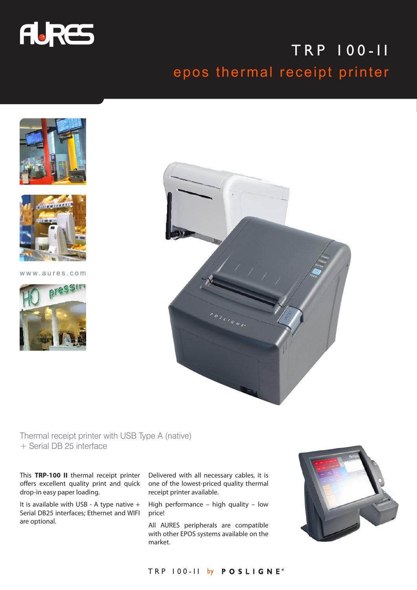

## TRP 100-II epos thermal receipt printer





www.aures.com





Thermal receipt printer with USB Type A (native) + Serial DB 25 interface

This **TRP-100 II** thermal receipt printer offers excellent quality print and quick drop-in easy paper loading.

It is available with USB - A type native + Serial DB25 interfaces; Ethernet and WIFI are optional.

Delivered with all necessary cables, it is one of the lowest-priced quality thermal receipt printer available.

High performance – high quality – low price!

All AURES peripherals are compatible with other EPOS systems available on the market.



## TRP 100-II by POSLIGNE®